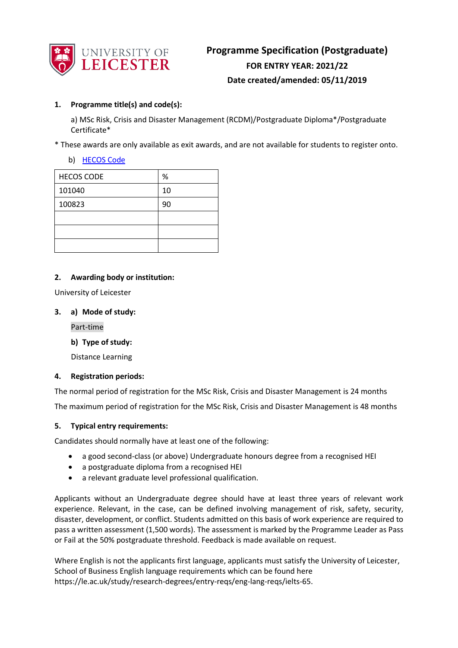

# **1. Programme title(s) and code(s):**

a) MSc Risk, Crisis and Disaster Management (RCDM)/Postgraduate Diploma\*/Postgraduate Certificate\*

\* These awards are only available as exit awards, and are not available for students to register onto.

## b) [HECOS Code](https://www.hesa.ac.uk/innovation/hecos)

| <b>HECOS CODE</b> | $\%$ |
|-------------------|------|
| 101040            | 10   |
| 100823            | 90   |
|                   |      |
|                   |      |
|                   |      |

## **2. Awarding body or institution:**

University of Leicester

### **3. a) Mode of study:**

Part-time

**b) Type of study:**

Distance Learning

### **4. Registration periods:**

The normal period of registration for the MSc Risk, Crisis and Disaster Management is 24 months The maximum period of registration for the MSc Risk, Crisis and Disaster Management is 48 months

### **5. Typical entry requirements:**

Candidates should normally have at least one of the following:

- a good second-class (or above) Undergraduate honours degree from a recognised HEI
- a postgraduate diploma from a recognised HEI
- a relevant graduate level professional qualification.

Applicants without an Undergraduate degree should have at least three years of relevant work experience. Relevant, in the case, can be defined involving management of risk, safety, security, disaster, development, or conflict. Students admitted on this basis of work experience are required to pass a written assessment (1,500 words). The assessment is marked by the Programme Leader as Pass or Fail at the 50% postgraduate threshold. Feedback is made available on request.

Where English is not the applicants first language, applicants must satisfy the University of Leicester, School of Business English language requirements which can be found here https://le.ac.uk/study/research-degrees/entry-reqs/eng-lang-reqs/ielts-65.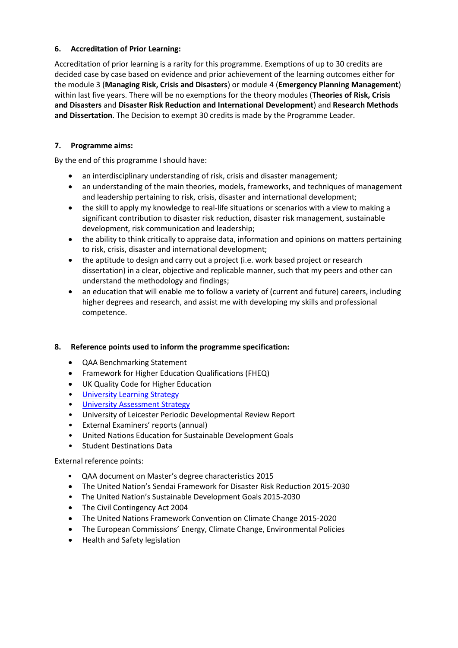# **6. Accreditation of Prior Learning:**

Accreditation of prior learning is a rarity for this programme. Exemptions of up to 30 credits are decided case by case based on evidence and prior achievement of the learning outcomes either for the module 3 (**Managing Risk, Crisis and Disasters**) or module 4 (**Emergency Planning Management**) within last five years. There will be no exemptions for the theory modules (**Theories of Risk, Crisis and Disasters** and **Disaster Risk Reduction and International Development**) and **Research Methods and Dissertation**. The Decision to exempt 30 credits is made by the Programme Leader.

# **7. Programme aims:**

By the end of this programme I should have:

- an interdisciplinary understanding of risk, crisis and disaster management;
- an understanding of the main theories, models, frameworks, and techniques of management and leadership pertaining to risk, crisis, disaster and international development;
- the skill to apply my knowledge to real-life situations or scenarios with a view to making a significant contribution to disaster risk reduction, disaster risk management, sustainable development, risk communication and leadership;
- the ability to think critically to appraise data, information and opinions on matters pertaining to risk, crisis, disaster and international development;
- the aptitude to design and carry out a project (i.e. work based project or research dissertation) in a clear, objective and replicable manner, such that my peers and other can understand the methodology and findings;
- an education that will enable me to follow a variety of (current and future) careers, including higher degrees and research, and assist me with developing my skills and professional competence.

# **8. Reference points used to inform the programme specification:**

- QAA Benchmarking Statement
- Framework for Higher Education Qualifications (FHEQ)
- UK Quality Code for Higher Education
- University Learnin[g Strategy](https://www2.le.ac.uk/offices/sas2/quality/learnteach)
- [University Assessment Strategy](https://www2.le.ac.uk/offices/sas2/quality/learnteach)
- University of Leicester Periodic Developmental Review Report
- External Examiners' reports (annual)
- United Nations Education for Sustainable Development Goals
- Student Destinations Data

# External reference points:

- [QAA document on Master's degree characteristics 2015](http://www.qaa.ac.uk/en/Publications/Documents/Masters-Degree-Characteristics-15.pdf)
- [The United Nation's Sendai Framework for Disaster Risk Reduction 2015](https://www.unisdr.org/files/43291_sendaiframeworkfordrren.pdf)-2030
- The United Nation's Sustainable Development Goals 2015-2030
- The Civil Contingency Act 2004
- The United Nations Framework Convention on Climate Change 2015-2020
- The European Commissions' Energy, Climate Change, Environmental Policies
- Health and Safety legislation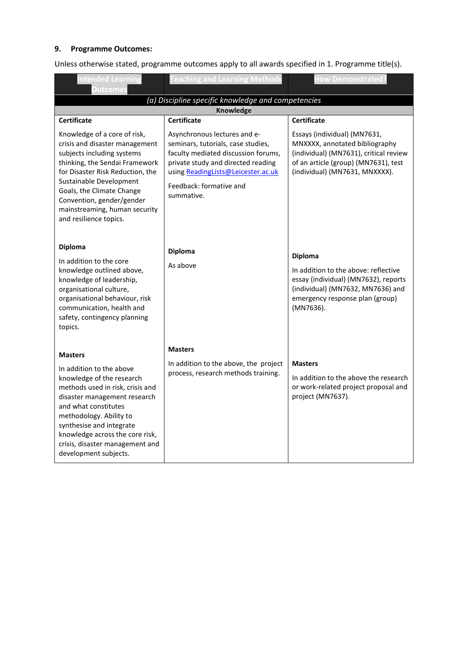# **9. Programme Outcomes:**

Unless otherwise stated, programme outcomes apply to all awards specified in 1. Programme title(s).

| <b>Intended Learning</b><br><b>Outcomes</b>                                                                                                                                                                                                                                                                                              | <b>Teaching and Learning Methods</b>                                                                                                                                                                                                                 | <b>How Demonstrated?</b>                                                                                                                                                                                 |  |
|------------------------------------------------------------------------------------------------------------------------------------------------------------------------------------------------------------------------------------------------------------------------------------------------------------------------------------------|------------------------------------------------------------------------------------------------------------------------------------------------------------------------------------------------------------------------------------------------------|----------------------------------------------------------------------------------------------------------------------------------------------------------------------------------------------------------|--|
| (a) Discipline specific knowledge and competencies                                                                                                                                                                                                                                                                                       |                                                                                                                                                                                                                                                      |                                                                                                                                                                                                          |  |
|                                                                                                                                                                                                                                                                                                                                          | <b>Knowledge</b>                                                                                                                                                                                                                                     |                                                                                                                                                                                                          |  |
| <b>Certificate</b><br>Knowledge of a core of risk,<br>crisis and disaster management<br>subjects including systems<br>thinking, the Sendai Framework<br>for Disaster Risk Reduction, the<br>Sustainable Development<br>Goals, the Climate Change<br>Convention, gender/gender<br>mainstreaming, human security<br>and resilience topics. | <b>Certificate</b><br>Asynchronous lectures and e-<br>seminars, tutorials, case studies,<br>faculty mediated discussion forums,<br>private study and directed reading<br>using ReadingLists@Leicester.ac.uk<br>Feedback: formative and<br>summative. | <b>Certificate</b><br>Essays (individual) (MN7631,<br>MNXXXX, annotated bibliography<br>(individual) (MN7631), critical review<br>of an article (group) (MN7631), test<br>(individual) (MN7631, MNXXXX). |  |
| <b>Diploma</b><br>In addition to the core<br>knowledge outlined above,<br>knowledge of leadership,<br>organisational culture,<br>organisational behaviour, risk<br>communication, health and<br>safety, contingency planning<br>topics.                                                                                                  | <b>Diploma</b><br>As above                                                                                                                                                                                                                           | <b>Diploma</b><br>In addition to the above: reflective<br>essay (individual) (MN7632), reports<br>(individual) (MN7632, MN7636) and<br>emergency response plan (group)<br>(MN7636).                      |  |
| <b>Masters</b><br>In addition to the above<br>knowledge of the research<br>methods used in risk, crisis and<br>disaster management research<br>and what constitutes<br>methodology. Ability to<br>synthesise and integrate<br>knowledge across the core risk,<br>crisis, disaster management and<br>development subjects.                | <b>Masters</b><br>In addition to the above, the project<br>process, research methods training.                                                                                                                                                       | <b>Masters</b><br>In addition to the above the research<br>or work-related project proposal and<br>project (MN7637).                                                                                     |  |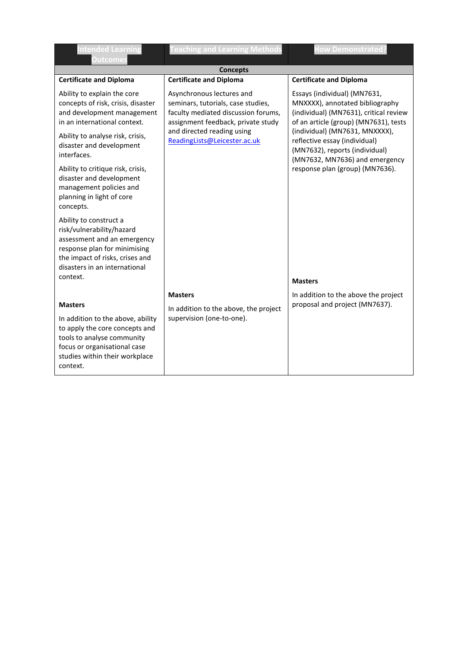| <b>Intended Learning</b><br><b>Outcomes</b>                                                                                                                                                     | <b>Teaching and Learning Methods</b>                                                                                                                                                                       | <b>How Demonstrated?</b>                                                                                                                                                                                                                                |
|-------------------------------------------------------------------------------------------------------------------------------------------------------------------------------------------------|------------------------------------------------------------------------------------------------------------------------------------------------------------------------------------------------------------|---------------------------------------------------------------------------------------------------------------------------------------------------------------------------------------------------------------------------------------------------------|
|                                                                                                                                                                                                 | <b>Concepts</b>                                                                                                                                                                                            |                                                                                                                                                                                                                                                         |
| <b>Certificate and Diploma</b>                                                                                                                                                                  | <b>Certificate and Diploma</b>                                                                                                                                                                             | <b>Certificate and Diploma</b>                                                                                                                                                                                                                          |
| Ability to explain the core<br>concepts of risk, crisis, disaster<br>and development management<br>in an international context.<br>Ability to analyse risk, crisis,<br>disaster and development | Asynchronous lectures and<br>seminars, tutorials, case studies,<br>faculty mediated discussion forums,<br>assignment feedback, private study<br>and directed reading using<br>ReadingLists@Leicester.ac.uk | Essays (individual) (MN7631,<br>MNXXXX), annotated bibliography<br>(individual) (MN7631), critical review<br>of an article (group) (MN7631), tests<br>(individual) (MN7631, MNXXXX),<br>reflective essay (individual)<br>(MN7632), reports (individual) |
| interfaces.                                                                                                                                                                                     |                                                                                                                                                                                                            | (MN7632, MN7636) and emergency                                                                                                                                                                                                                          |
| Ability to critique risk, crisis,<br>disaster and development<br>management policies and<br>planning in light of core<br>concepts.                                                              |                                                                                                                                                                                                            | response plan (group) (MN7636).                                                                                                                                                                                                                         |
| Ability to construct a<br>risk/vulnerability/hazard<br>assessment and an emergency<br>response plan for minimising<br>the impact of risks, crises and<br>disasters in an international          |                                                                                                                                                                                                            |                                                                                                                                                                                                                                                         |
| context.                                                                                                                                                                                        |                                                                                                                                                                                                            | <b>Masters</b>                                                                                                                                                                                                                                          |
|                                                                                                                                                                                                 | <b>Masters</b>                                                                                                                                                                                             | In addition to the above the project                                                                                                                                                                                                                    |
| <b>Masters</b>                                                                                                                                                                                  | In addition to the above, the project                                                                                                                                                                      | proposal and project (MN7637).                                                                                                                                                                                                                          |
| In addition to the above, ability<br>to apply the core concepts and<br>tools to analyse community<br>focus or organisational case<br>studies within their workplace<br>context.                 | supervision (one-to-one).                                                                                                                                                                                  |                                                                                                                                                                                                                                                         |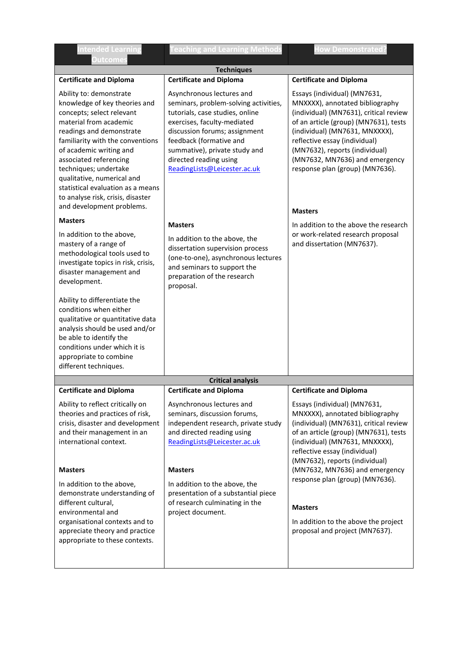| <b>Intended Learning</b><br><b>Outcomes</b>                                                                                                                                                                                                                                                                                                                                                        | eaching and Learning Method                                                                                                                                                                                                                                                                 | <b>How Demonstrated</b>                                                                                                                                                                                                                                                                                                                        |  |  |
|----------------------------------------------------------------------------------------------------------------------------------------------------------------------------------------------------------------------------------------------------------------------------------------------------------------------------------------------------------------------------------------------------|---------------------------------------------------------------------------------------------------------------------------------------------------------------------------------------------------------------------------------------------------------------------------------------------|------------------------------------------------------------------------------------------------------------------------------------------------------------------------------------------------------------------------------------------------------------------------------------------------------------------------------------------------|--|--|
| <b>Techniques</b>                                                                                                                                                                                                                                                                                                                                                                                  |                                                                                                                                                                                                                                                                                             |                                                                                                                                                                                                                                                                                                                                                |  |  |
| <b>Certificate and Diploma</b>                                                                                                                                                                                                                                                                                                                                                                     | <b>Certificate and Diploma</b>                                                                                                                                                                                                                                                              | <b>Certificate and Diploma</b>                                                                                                                                                                                                                                                                                                                 |  |  |
| Ability to: demonstrate<br>knowledge of key theories and<br>concepts; select relevant<br>material from academic<br>readings and demonstrate<br>familiarity with the conventions<br>of academic writing and<br>associated referencing<br>techniques; undertake<br>qualitative, numerical and<br>statistical evaluation as a means<br>to analyse risk, crisis, disaster<br>and development problems. | Asynchronous lectures and<br>seminars, problem-solving activities,<br>tutorials, case studies, online<br>exercises, faculty-mediated<br>discussion forums; assignment<br>feedback (formative and<br>summative), private study and<br>directed reading using<br>ReadingLists@Leicester.ac.uk | Essays (individual) (MN7631,<br>MNXXXX), annotated bibliography<br>(individual) (MN7631), critical review<br>of an article (group) (MN7631), tests<br>(individual) (MN7631, MNXXXX),<br>reflective essay (individual)<br>(MN7632), reports (individual)<br>(MN7632, MN7636) and emergency<br>response plan (group) (MN7636).<br><b>Masters</b> |  |  |
| <b>Masters</b>                                                                                                                                                                                                                                                                                                                                                                                     | <b>Masters</b>                                                                                                                                                                                                                                                                              | In addition to the above the research                                                                                                                                                                                                                                                                                                          |  |  |
| In addition to the above,<br>mastery of a range of<br>methodological tools used to<br>investigate topics in risk, crisis,<br>disaster management and<br>development.<br>Ability to differentiate the<br>conditions when either                                                                                                                                                                     | In addition to the above, the<br>dissertation supervision process<br>(one-to-one), asynchronous lectures<br>and seminars to support the<br>preparation of the research<br>proposal.                                                                                                         | or work-related research proposal<br>and dissertation (MN7637).                                                                                                                                                                                                                                                                                |  |  |
| qualitative or quantitative data<br>analysis should be used and/or<br>be able to identify the<br>conditions under which it is<br>appropriate to combine                                                                                                                                                                                                                                            |                                                                                                                                                                                                                                                                                             |                                                                                                                                                                                                                                                                                                                                                |  |  |
| different techniques.                                                                                                                                                                                                                                                                                                                                                                              |                                                                                                                                                                                                                                                                                             |                                                                                                                                                                                                                                                                                                                                                |  |  |
|                                                                                                                                                                                                                                                                                                                                                                                                    | <b>Critical analysis</b>                                                                                                                                                                                                                                                                    |                                                                                                                                                                                                                                                                                                                                                |  |  |
| <b>Certificate and Diploma</b>                                                                                                                                                                                                                                                                                                                                                                     | <b>Certificate and Diploma</b>                                                                                                                                                                                                                                                              | <b>Certificate and Diploma</b>                                                                                                                                                                                                                                                                                                                 |  |  |
| Ability to reflect critically on<br>theories and practices of risk,<br>crisis, disaster and development<br>and their management in an<br>international context.                                                                                                                                                                                                                                    | Asynchronous lectures and<br>seminars, discussion forums,<br>independent research, private study<br>and directed reading using<br>ReadingLists@Leicester.ac.uk                                                                                                                              | Essays (individual) (MN7631,<br>MNXXXX), annotated bibliography<br>(individual) (MN7631), critical review<br>of an article (group) (MN7631), tests<br>(individual) (MN7631, MNXXXX),<br>reflective essay (individual)<br>(MN7632), reports (individual)                                                                                        |  |  |
| <b>Masters</b>                                                                                                                                                                                                                                                                                                                                                                                     | <b>Masters</b>                                                                                                                                                                                                                                                                              | (MN7632, MN7636) and emergency                                                                                                                                                                                                                                                                                                                 |  |  |
| In addition to the above,<br>demonstrate understanding of<br>different cultural,<br>environmental and<br>organisational contexts and to<br>appreciate theory and practice<br>appropriate to these contexts.                                                                                                                                                                                        | In addition to the above, the<br>presentation of a substantial piece<br>of research culminating in the<br>project document.                                                                                                                                                                 | response plan (group) (MN7636).<br><b>Masters</b><br>In addition to the above the project<br>proposal and project (MN7637).                                                                                                                                                                                                                    |  |  |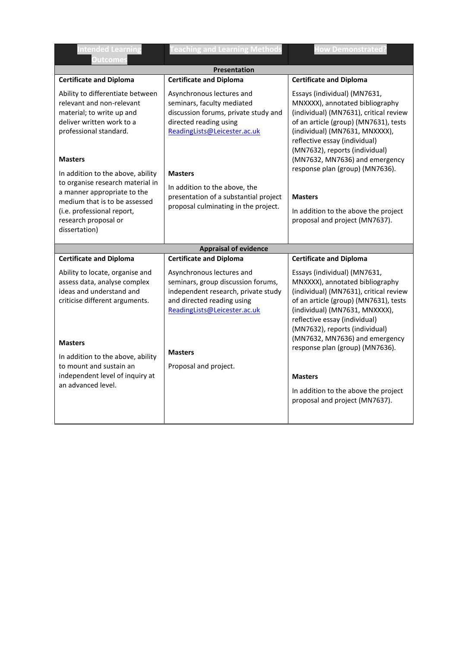| <b>Intended Learning</b><br><b>Outcomes</b>                                                                                                                                                                                    | <b>Teaching and Learning Methods</b>                                                                                                                                                                            | <b>How Demonstrated?</b>                                                                                                                                                                                                                                                                                                                                                                                                 |  |
|--------------------------------------------------------------------------------------------------------------------------------------------------------------------------------------------------------------------------------|-----------------------------------------------------------------------------------------------------------------------------------------------------------------------------------------------------------------|--------------------------------------------------------------------------------------------------------------------------------------------------------------------------------------------------------------------------------------------------------------------------------------------------------------------------------------------------------------------------------------------------------------------------|--|
| <b>Presentation</b>                                                                                                                                                                                                            |                                                                                                                                                                                                                 |                                                                                                                                                                                                                                                                                                                                                                                                                          |  |
| <b>Certificate and Diploma</b>                                                                                                                                                                                                 | <b>Certificate and Diploma</b>                                                                                                                                                                                  | <b>Certificate and Diploma</b>                                                                                                                                                                                                                                                                                                                                                                                           |  |
| Ability to differentiate between<br>relevant and non-relevant<br>material; to write up and<br>deliver written work to a<br>professional standard.                                                                              | Asynchronous lectures and<br>seminars, faculty mediated<br>discussion forums, private study and<br>directed reading using<br>ReadingLists@Leicester.ac.uk                                                       | Essays (individual) (MN7631,<br>MNXXXX), annotated bibliography<br>(individual) (MN7631), critical review<br>of an article (group) (MN7631), tests<br>(individual) (MN7631, MNXXXX),<br>reflective essay (individual)<br>(MN7632), reports (individual)<br>(MN7632, MN7636) and emergency<br>response plan (group) (MN7636).<br><b>Masters</b><br>In addition to the above the project<br>proposal and project (MN7637). |  |
| <b>Masters</b><br>In addition to the above, ability<br>to organise research material in<br>a manner appropriate to the<br>medium that is to be assessed<br>(i.e. professional report,<br>research proposal or<br>dissertation) | <b>Masters</b><br>In addition to the above, the<br>presentation of a substantial project<br>proposal culminating in the project.                                                                                |                                                                                                                                                                                                                                                                                                                                                                                                                          |  |
|                                                                                                                                                                                                                                | <b>Appraisal of evidence</b>                                                                                                                                                                                    |                                                                                                                                                                                                                                                                                                                                                                                                                          |  |
| <b>Certificate and Diploma</b>                                                                                                                                                                                                 | <b>Certificate and Diploma</b>                                                                                                                                                                                  | <b>Certificate and Diploma</b>                                                                                                                                                                                                                                                                                                                                                                                           |  |
| Ability to locate, organise and<br>assess data, analyse complex<br>ideas and understand and<br>criticise different arguments.<br><b>Masters</b><br>In addition to the above, ability<br>to mount and sustain an                | Asynchronous lectures and<br>seminars, group discussion forums,<br>independent research, private study<br>and directed reading using<br>ReadingLists@Leicester.ac.uk<br><b>Masters</b><br>Proposal and project. | Essays (individual) (MN7631,<br>MNXXXX), annotated bibliography<br>(individual) (MN7631), critical review<br>of an article (group) (MN7631), tests<br>(individual) (MN7631, MNXXXX),<br>reflective essay (individual)<br>(MN7632), reports (individual)<br>(MN7632, MN7636) and emergency<br>response plan (group) (MN7636).                                                                                             |  |
| independent level of inquiry at                                                                                                                                                                                                |                                                                                                                                                                                                                 | <b>Masters</b>                                                                                                                                                                                                                                                                                                                                                                                                           |  |
| an advanced level.                                                                                                                                                                                                             |                                                                                                                                                                                                                 | In addition to the above the project<br>proposal and project (MN7637).                                                                                                                                                                                                                                                                                                                                                   |  |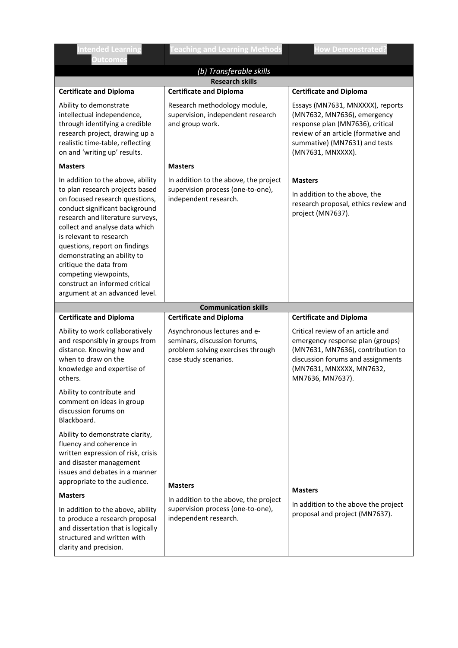| ntended Learning<br><b>Outcomes</b>                                                                                                                                                                                                                                                                                                                                                                                              | eaching and Learning Methods                                                                                               | How Demonstrated                                                                                                                                                                                                                   |  |  |
|----------------------------------------------------------------------------------------------------------------------------------------------------------------------------------------------------------------------------------------------------------------------------------------------------------------------------------------------------------------------------------------------------------------------------------|----------------------------------------------------------------------------------------------------------------------------|------------------------------------------------------------------------------------------------------------------------------------------------------------------------------------------------------------------------------------|--|--|
| (b) Transferable skills                                                                                                                                                                                                                                                                                                                                                                                                          |                                                                                                                            |                                                                                                                                                                                                                                    |  |  |
|                                                                                                                                                                                                                                                                                                                                                                                                                                  | <b>Research skills</b>                                                                                                     |                                                                                                                                                                                                                                    |  |  |
| <b>Certificate and Diploma</b><br>Ability to demonstrate<br>intellectual independence,<br>through identifying a credible<br>research project, drawing up a<br>realistic time-table, reflecting<br>on and 'writing up' results.                                                                                                                                                                                                   | <b>Certificate and Diploma</b><br>Research methodology module,<br>supervision, independent research<br>and group work.     | <b>Certificate and Diploma</b><br>Essays (MN7631, MNXXXX), reports<br>(MN7632, MN7636), emergency<br>response plan (MN7636), critical<br>review of an article (formative and<br>summative) (MN7631) and tests<br>(MN7631, MNXXXX). |  |  |
| <b>Masters</b>                                                                                                                                                                                                                                                                                                                                                                                                                   | <b>Masters</b>                                                                                                             |                                                                                                                                                                                                                                    |  |  |
| In addition to the above, ability<br>to plan research projects based<br>on focused research questions,<br>conduct significant background<br>research and literature surveys,<br>collect and analyse data which<br>is relevant to research<br>questions, report on findings<br>demonstrating an ability to<br>critique the data from<br>competing viewpoints,<br>construct an informed critical<br>argument at an advanced level. | In addition to the above, the project<br>supervision process (one-to-one),<br>independent research.                        | <b>Masters</b><br>In addition to the above, the<br>research proposal, ethics review and<br>project (MN7637).                                                                                                                       |  |  |
|                                                                                                                                                                                                                                                                                                                                                                                                                                  | <b>Communication skills</b>                                                                                                |                                                                                                                                                                                                                                    |  |  |
| <b>Certificate and Diploma</b>                                                                                                                                                                                                                                                                                                                                                                                                   | <b>Certificate and Diploma</b>                                                                                             | <b>Certificate and Diploma</b>                                                                                                                                                                                                     |  |  |
| Ability to work collaboratively<br>and responsibly in groups from<br>distance. Knowing how and<br>when to draw on the<br>knowledge and expertise of<br>others.                                                                                                                                                                                                                                                                   | Asynchronous lectures and e-<br>seminars, discussion forums,<br>problem solving exercises through<br>case study scenarios. | Critical review of an article and<br>emergency response plan (groups)<br>(MN7631, MN7636), contribution to<br>discussion forums and assignments<br>(MN7631, MNXXXX, MN7632,<br>MN7636, MN7637).                                    |  |  |
| Ability to contribute and<br>comment on ideas in group<br>discussion forums on<br>Blackboard.                                                                                                                                                                                                                                                                                                                                    |                                                                                                                            |                                                                                                                                                                                                                                    |  |  |
| Ability to demonstrate clarity,<br>fluency and coherence in<br>written expression of risk, crisis<br>and disaster management<br>issues and debates in a manner<br>appropriate to the audience.                                                                                                                                                                                                                                   | <b>Masters</b>                                                                                                             |                                                                                                                                                                                                                                    |  |  |
| <b>Masters</b>                                                                                                                                                                                                                                                                                                                                                                                                                   | In addition to the above, the project                                                                                      | <b>Masters</b>                                                                                                                                                                                                                     |  |  |
| In addition to the above, ability<br>to produce a research proposal<br>and dissertation that is logically<br>structured and written with<br>clarity and precision.                                                                                                                                                                                                                                                               | supervision process (one-to-one),<br>independent research.                                                                 | In addition to the above the project<br>proposal and project (MN7637).                                                                                                                                                             |  |  |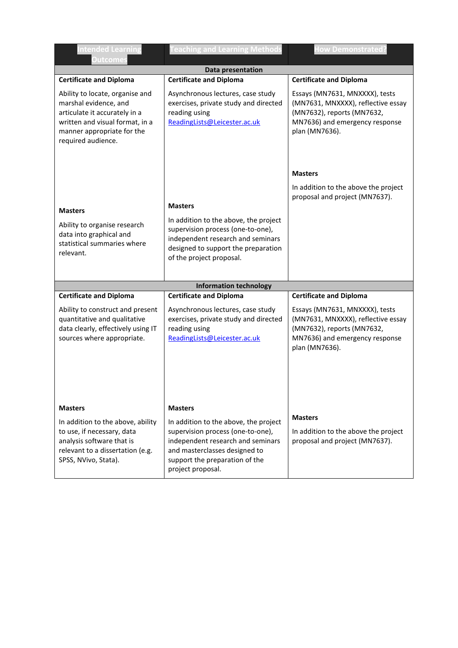| ntended Learning<br><b>Outcomes</b>                                                                                                                                              | eaching and Learning Methods                                                                                                                                                                            | <b>How Demonstrated</b>                                                                                                                                |  |
|----------------------------------------------------------------------------------------------------------------------------------------------------------------------------------|---------------------------------------------------------------------------------------------------------------------------------------------------------------------------------------------------------|--------------------------------------------------------------------------------------------------------------------------------------------------------|--|
|                                                                                                                                                                                  | Data presentation                                                                                                                                                                                       |                                                                                                                                                        |  |
| <b>Certificate and Diploma</b>                                                                                                                                                   | <b>Certificate and Diploma</b>                                                                                                                                                                          | <b>Certificate and Diploma</b>                                                                                                                         |  |
| Ability to locate, organise and<br>marshal evidence, and<br>articulate it accurately in a<br>written and visual format, in a<br>manner appropriate for the<br>required audience. | Asynchronous lectures, case study<br>exercises, private study and directed<br>reading using<br>ReadingLists@Leicester.ac.uk                                                                             | Essays (MN7631, MNXXXX), tests<br>(MN7631, MNXXXX), reflective essay<br>(MN7632), reports (MN7632,<br>MN7636) and emergency response<br>plan (MN7636). |  |
|                                                                                                                                                                                  |                                                                                                                                                                                                         | <b>Masters</b>                                                                                                                                         |  |
|                                                                                                                                                                                  | <b>Masters</b>                                                                                                                                                                                          | In addition to the above the project<br>proposal and project (MN7637).                                                                                 |  |
| <b>Masters</b>                                                                                                                                                                   |                                                                                                                                                                                                         |                                                                                                                                                        |  |
| Ability to organise research<br>data into graphical and<br>statistical summaries where<br>relevant.                                                                              | In addition to the above, the project<br>supervision process (one-to-one),<br>independent research and seminars<br>designed to support the preparation<br>of the project proposal.                      |                                                                                                                                                        |  |
|                                                                                                                                                                                  | <b>Information technology</b>                                                                                                                                                                           |                                                                                                                                                        |  |
| <b>Certificate and Diploma</b>                                                                                                                                                   | <b>Certificate and Diploma</b>                                                                                                                                                                          | <b>Certificate and Diploma</b>                                                                                                                         |  |
| Ability to construct and present<br>quantitative and qualitative<br>data clearly, effectively using IT<br>sources where appropriate.                                             | Asynchronous lectures, case study<br>exercises, private study and directed<br>reading using<br>ReadingLists@Leicester.ac.uk                                                                             | Essays (MN7631, MNXXXX), tests<br>(MN7631, MNXXXX), reflective essay<br>(MN7632), reports (MN7632,<br>MN7636) and emergency response<br>plan (MN7636). |  |
| <b>Masters</b>                                                                                                                                                                   | <b>Masters</b>                                                                                                                                                                                          |                                                                                                                                                        |  |
| In addition to the above, ability<br>to use, if necessary, data<br>analysis software that is<br>relevant to a dissertation (e.g.<br>SPSS, NVivo, Stata).                         | In addition to the above, the project<br>supervision process (one-to-one),<br>independent research and seminars<br>and masterclasses designed to<br>support the preparation of the<br>project proposal. | <b>Masters</b><br>In addition to the above the project<br>proposal and project (MN7637).                                                               |  |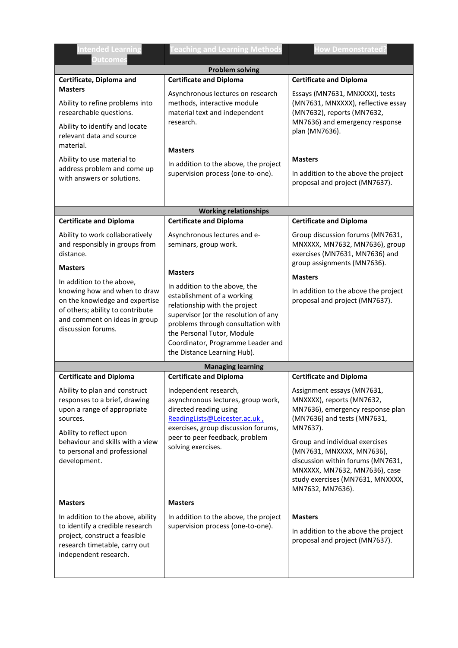| ntended Learning<br><b>Outcomes</b>                                                                                                                                                    | <b>Feaching and Learning Methods</b>                                                                                                                                                                                                                                         | <b>How Demonstrated?</b>                                                                                                                               |  |  |
|----------------------------------------------------------------------------------------------------------------------------------------------------------------------------------------|------------------------------------------------------------------------------------------------------------------------------------------------------------------------------------------------------------------------------------------------------------------------------|--------------------------------------------------------------------------------------------------------------------------------------------------------|--|--|
| <b>Problem solving</b>                                                                                                                                                                 |                                                                                                                                                                                                                                                                              |                                                                                                                                                        |  |  |
| Certificate, Diploma and                                                                                                                                                               | <b>Certificate and Diploma</b>                                                                                                                                                                                                                                               | <b>Certificate and Diploma</b>                                                                                                                         |  |  |
| <b>Masters</b><br>Ability to refine problems into<br>researchable questions.<br>Ability to identify and locate<br>relevant data and source<br>material.                                | Asynchronous lectures on research<br>methods, interactive module<br>material text and independent<br>research.                                                                                                                                                               | Essays (MN7631, MNXXXX), tests<br>(MN7631, MNXXXX), reflective essay<br>(MN7632), reports (MN7632,<br>MN7636) and emergency response<br>plan (MN7636). |  |  |
|                                                                                                                                                                                        | <b>Masters</b>                                                                                                                                                                                                                                                               |                                                                                                                                                        |  |  |
| Ability to use material to<br>address problem and come up<br>with answers or solutions.                                                                                                | In addition to the above, the project<br>supervision process (one-to-one).                                                                                                                                                                                                   | <b>Masters</b><br>In addition to the above the project<br>proposal and project (MN7637).                                                               |  |  |
|                                                                                                                                                                                        | <b>Working relationships</b>                                                                                                                                                                                                                                                 |                                                                                                                                                        |  |  |
| <b>Certificate and Diploma</b>                                                                                                                                                         | <b>Certificate and Diploma</b>                                                                                                                                                                                                                                               | <b>Certificate and Diploma</b>                                                                                                                         |  |  |
| Ability to work collaboratively<br>and responsibly in groups from<br>distance.                                                                                                         | Asynchronous lectures and e-<br>seminars, group work.                                                                                                                                                                                                                        | Group discussion forums (MN7631,<br>MNXXXX, MN7632, MN7636), group<br>exercises (MN7631, MN7636) and<br>group assignments (MN7636).                    |  |  |
| <b>Masters</b>                                                                                                                                                                         | <b>Masters</b>                                                                                                                                                                                                                                                               |                                                                                                                                                        |  |  |
| In addition to the above,<br>knowing how and when to draw<br>on the knowledge and expertise<br>of others; ability to contribute<br>and comment on ideas in group<br>discussion forums. | In addition to the above, the<br>establishment of a working<br>relationship with the project<br>supervisor (or the resolution of any<br>problems through consultation with<br>the Personal Tutor, Module<br>Coordinator, Programme Leader and<br>the Distance Learning Hub). | <b>Masters</b><br>In addition to the above the project<br>proposal and project (MN7637).                                                               |  |  |
|                                                                                                                                                                                        | <b>Managing learning</b>                                                                                                                                                                                                                                                     |                                                                                                                                                        |  |  |
| <b>Certificate and Diploma</b>                                                                                                                                                         | <b>Certificate and Diploma</b>                                                                                                                                                                                                                                               | <b>Certificate and Diploma</b>                                                                                                                         |  |  |
| Ability to plan and construct<br>responses to a brief, drawing<br>upon a range of appropriate<br>sources.<br>Ability to reflect upon                                                   | Independent research,<br>asynchronous lectures, group work,<br>directed reading using<br>ReadingLists@Leicester.ac.uk,<br>exercises, group discussion forums,                                                                                                                | Assignment essays (MN7631,<br>MNXXXX), reports (MN7632,<br>MN7636), emergency response plan<br>(MN7636) and tests (MN7631,<br>MN7637).                 |  |  |
| behaviour and skills with a view<br>to personal and professional<br>development.                                                                                                       | peer to peer feedback, problem<br>solving exercises.                                                                                                                                                                                                                         |                                                                                                                                                        |  |  |
| <b>Masters</b>                                                                                                                                                                         | <b>Masters</b>                                                                                                                                                                                                                                                               |                                                                                                                                                        |  |  |
| In addition to the above, ability<br>to identify a credible research<br>project, construct a feasible<br>research timetable, carry out<br>independent research.                        | In addition to the above, the project<br>supervision process (one-to-one).                                                                                                                                                                                                   | <b>Masters</b><br>In addition to the above the project<br>proposal and project (MN7637).                                                               |  |  |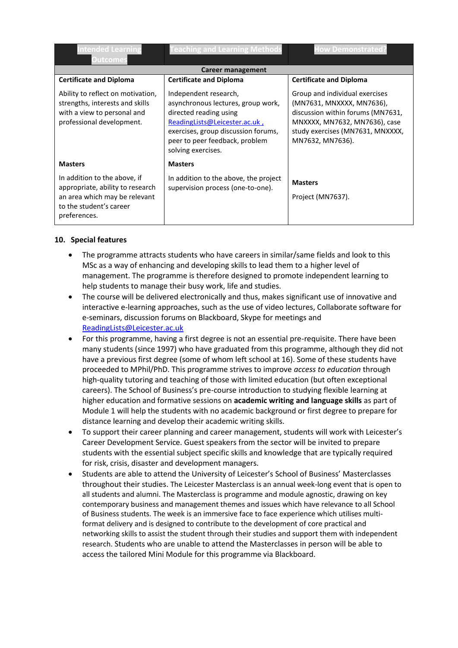| <b>Intended Learning</b><br><b>Outcomes</b>                                                                                                  | <b>Teaching and Learning Methods</b>                                                                                                                                                                                  | <b>How Demonstrated?</b>                                                                                                                                                                  |
|----------------------------------------------------------------------------------------------------------------------------------------------|-----------------------------------------------------------------------------------------------------------------------------------------------------------------------------------------------------------------------|-------------------------------------------------------------------------------------------------------------------------------------------------------------------------------------------|
|                                                                                                                                              | Career management                                                                                                                                                                                                     |                                                                                                                                                                                           |
| <b>Certificate and Diploma</b>                                                                                                               | <b>Certificate and Diploma</b>                                                                                                                                                                                        | <b>Certificate and Diploma</b>                                                                                                                                                            |
| Ability to reflect on motivation,<br>strengths, interests and skills<br>with a view to personal and<br>professional development.             | Independent research,<br>asynchronous lectures, group work,<br>directed reading using<br>ReadingLists@Leicester.ac.uk,<br>exercises, group discussion forums,<br>peer to peer feedback, problem<br>solving exercises. | Group and individual exercises<br>(MN7631, MNXXXX, MN7636),<br>discussion within forums (MN7631,<br>MNXXXX, MN7632, MN7636), case<br>study exercises (MN7631, MNXXXX,<br>MN7632, MN7636). |
| <b>Masters</b>                                                                                                                               | <b>Masters</b>                                                                                                                                                                                                        |                                                                                                                                                                                           |
| In addition to the above, if<br>appropriate, ability to research<br>an area which may be relevant<br>to the student's career<br>preferences. | In addition to the above, the project<br>supervision process (one-to-one).                                                                                                                                            | <b>Masters</b><br>Project (MN7637).                                                                                                                                                       |

## **10. Special features**

- The programme attracts students who have careers in similar/same fields and look to this MSc as a way of enhancing and developing skills to lead them to a higher level of management. The programme is therefore designed to promote independent learning to help students to manage their busy work, life and studies.
- The course will be delivered electronically and thus, makes significant use of innovative and interactive e-learning approaches, such as the use of video lectures, Collaborate software for e-seminars, discussion forums on Blackboard, Skype for meetings and [ReadingLists@Leicester.ac.uk](mailto:ReadingLists@Leicester.ac.uk)
- For this programme, having a first degree is not an essential pre-requisite. There have been many students (since 1997) who have graduated from this programme, although they did not have a previous first degree (some of whom left school at 16). Some of these students have proceeded to MPhil/PhD. This programme strives to improve *access to education* through high-quality tutoring and teaching of those with limited education (but often exceptional careers). The School of Business's pre-course introduction to studying flexible learning at higher education and formative sessions on **academic writing and language skills** as part of Module 1 will help the students with no academic background or first degree to prepare for distance learning and develop their academic writing skills.
- To support their career planning and career management, students will work with Leicester's Career Development Service. Guest speakers from the sector will be invited to prepare students with the essential subject specific skills and knowledge that are typically required for risk, crisis, disaster and development managers.
- Students are able to attend the University of Leicester's School of Business' Masterclasses throughout their studies. The Leicester Masterclass is an annual week-long event that is open to all students and alumni. The Masterclass is programme and module agnostic, drawing on key contemporary business and management themes and issues which have relevance to all School of Business students. The week is an immersive face to face experience which utilises multiformat delivery and is designed to contribute to the development of core practical and networking skills to assist the student through their studies and support them with independent research. Students who are unable to attend the Masterclasses in person will be able to access the tailored Mini Module for this programme via Blackboard.